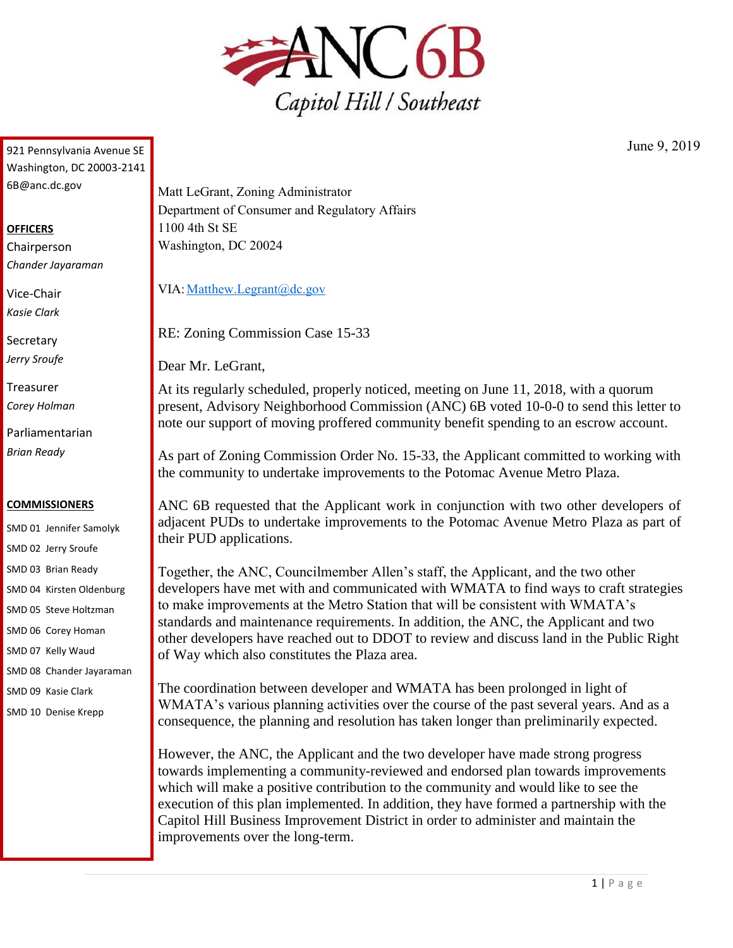

921 Pennsylvania Avenue SE Washington, DC 20003-2141 6B@anc.dc.gov

## **OFFICERS**

Chairperson *Chander Jayaraman*

Vice-Chair *Kasie Clark*

**Secretary** *Jerry Sroufe*

Treasurer *Corey Holman*

Parliamentarian *Brian Ready*

## **COMMISSIONERS**

SMD 01 Jennifer Samolyk SMD 02 Jerry Sroufe SMD 03 Brian Ready SMD 04 Kirsten Oldenburg SMD 05 Steve Holtzman SMD 06 Corey Homan SMD 07 Kelly Waud SMD 08 Chander Jayaraman

SMD 09 Kasie Clark

SMD 10 Denise Krepp

Matt LeGrant, Zoning Administrator Department of Consumer and Regulatory Affairs 1100 4th St SE Washington, DC 20024

VIA: Matthew.Legrant@dc.gov

RE: Zoning Commission Case 15-33

Dear Mr. LeGrant,

At its regularly scheduled, properly noticed, meeting on June 11, 2018, with a quorum present, Advisory Neighborhood Commission (ANC) 6B voted 10-0-0 to send this letter to note our support of moving proffered community benefit spending to an escrow account.

As part of Zoning Commission Order No. 15-33, the Applicant committed to working with the community to undertake improvements to the Potomac Avenue Metro Plaza.

ANC 6B requested that the Applicant work in conjunction with two other developers of adjacent PUDs to undertake improvements to the Potomac Avenue Metro Plaza as part of their PUD applications.

Together, the ANC, Councilmember Allen's staff, the Applicant, and the two other developers have met with and communicated with WMATA to find ways to craft strategies to make improvements at the Metro Station that will be consistent with WMATA's standards and maintenance requirements. In addition, the ANC, the Applicant and two other developers have reached out to DDOT to review and discuss land in the Public Right of Way which also constitutes the Plaza area.

The coordination between developer and WMATA has been prolonged in light of WMATA's various planning activities over the course of the past several years. And as a consequence, the planning and resolution has taken longer than preliminarily expected.

However, the ANC, the Applicant and the two developer have made strong progress towards implementing a community-reviewed and endorsed plan towards improvements which will make a positive contribution to the community and would like to see the execution of this plan implemented. In addition, they have formed a partnership with the Capitol Hill Business Improvement District in order to administer and maintain the improvements over the long-term.

June 9, 2019